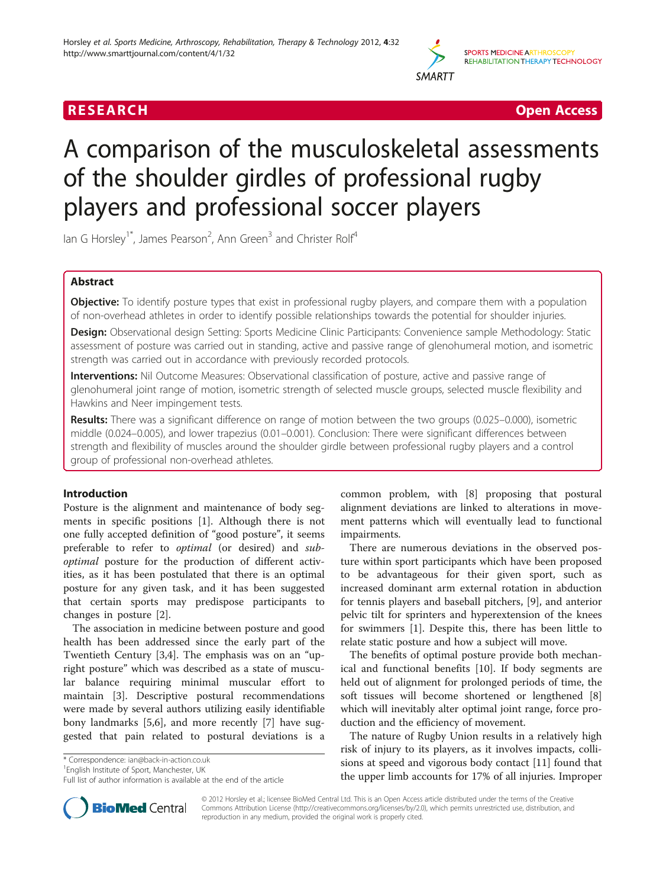

## **RESEARCH CHINESE ARCH CHINESE ARCHITECT AND ACCESS**

# A comparison of the musculoskeletal assessments of the shoulder girdles of professional rugby players and professional soccer players

lan G Horsley<sup>1\*</sup>, James Pearson<sup>2</sup>, Ann Green<sup>3</sup> and Christer Rolf<sup>4</sup>

## Abstract

Objective: To identify posture types that exist in professional rugby players, and compare them with a population of non-overhead athletes in order to identify possible relationships towards the potential for shoulder injuries.

Design: Observational design Setting: Sports Medicine Clinic Participants: Convenience sample Methodology: Static assessment of posture was carried out in standing, active and passive range of glenohumeral motion, and isometric strength was carried out in accordance with previously recorded protocols.

**Interventions:** Nil Outcome Measures: Observational classification of posture, active and passive range of glenohumeral joint range of motion, isometric strength of selected muscle groups, selected muscle flexibility and Hawkins and Neer impingement tests.

Results: There was a significant difference on range of motion between the two groups (0.025–0.000), isometric middle (0.024–0.005), and lower trapezius (0.01–0.001). Conclusion: There were significant differences between strength and flexibility of muscles around the shoulder girdle between professional rugby players and a control group of professional non-overhead athletes.

## Introduction

Posture is the alignment and maintenance of body segments in specific positions [\[1](#page-7-0)]. Although there is not one fully accepted definition of "good posture", it seems preferable to refer to optimal (or desired) and suboptimal posture for the production of different activities, as it has been postulated that there is an optimal posture for any given task, and it has been suggested that certain sports may predispose participants to changes in posture [[2\]](#page-8-0).

The association in medicine between posture and good health has been addressed since the early part of the Twentieth Century [[3,4\]](#page-8-0). The emphasis was on an "upright posture" which was described as a state of muscular balance requiring minimal muscular effort to maintain [[3\]](#page-8-0). Descriptive postural recommendations were made by several authors utilizing easily identifiable bony landmarks [\[5,6](#page-8-0)], and more recently [[7\]](#page-8-0) have suggested that pain related to postural deviations is a

\* Correspondence: [ian@back-in-action.co.uk](mailto:ian@back-n-action.co.uk) <sup>1</sup>

<sup>1</sup> English Institute of Sport, Manchester, UK

Full list of author information is available at the end of the article

common problem, with [[8](#page-8-0)] proposing that postural alignment deviations are linked to alterations in movement patterns which will eventually lead to functional impairments.

There are numerous deviations in the observed posture within sport participants which have been proposed to be advantageous for their given sport, such as increased dominant arm external rotation in abduction for tennis players and baseball pitchers, [\[9](#page-8-0)], and anterior pelvic tilt for sprinters and hyperextension of the knees for swimmers [[1\]](#page-7-0). Despite this, there has been little to relate static posture and how a subject will move.

The benefits of optimal posture provide both mechanical and functional benefits [\[10](#page-8-0)]. If body segments are held out of alignment for prolonged periods of time, the soft tissues will become shortened or lengthened [\[8](#page-8-0)] which will inevitably alter optimal joint range, force production and the efficiency of movement.

The nature of Rugby Union results in a relatively high risk of injury to its players, as it involves impacts, collisions at speed and vigorous body contact [[11](#page-8-0)] found that the upper limb accounts for 17% of all injuries. Improper



© 2012 Horsley et al.; licensee BioMed Central Ltd. This is an Open Access article distributed under the terms of the Creative Commons Attribution License [\(http://creativecommons.org/licenses/by/2.0\)](http://creativecommons.org/licenses/by/2.0), which permits unrestricted use, distribution, and reproduction in any medium, provided the original work is properly cited.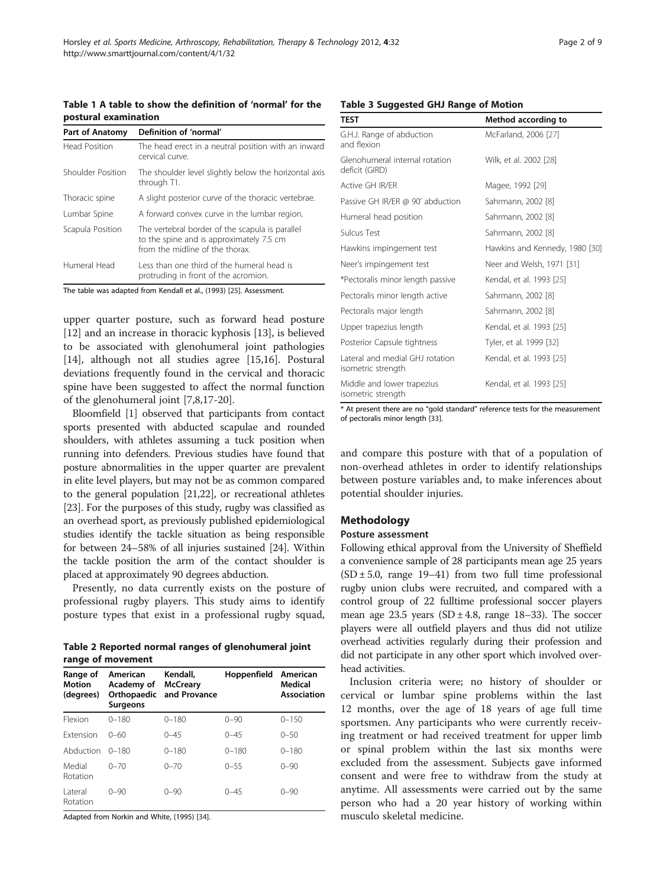<span id="page-1-0"></span>Table 1 A table to show the definition of 'normal' for the postural examination

| <b>Part of Anatomy</b>   | Definition of 'normal'                                                                                                         |
|--------------------------|--------------------------------------------------------------------------------------------------------------------------------|
| Head Position            | The head erect in a neutral position with an inward<br>cervical curve.                                                         |
| <b>Shoulder Position</b> | The shoulder level slightly below the horizontal axis<br>through T1.                                                           |
| Thoracic spine           | A slight posterior curve of the thoracic vertebrae.                                                                            |
| Lumbar Spine             | A forward convex curve in the lumbar region.                                                                                   |
| Scapula Position         | The vertebral border of the scapula is parallel<br>to the spine and is approximately 7.5 cm<br>from the midline of the thorax. |
| Humeral Head             | Less than one third of the humeral head is<br>protruding in front of the acromion.                                             |
|                          |                                                                                                                                |

The table was adapted from Kendall et al., (1993) [\[25](#page-8-0)]. Assessment.

upper quarter posture, such as forward head posture [[12\]](#page-8-0) and an increase in thoracic kyphosis [\[13\]](#page-8-0), is believed to be associated with glenohumeral joint pathologies [[14\]](#page-8-0), although not all studies agree [[15,16\]](#page-8-0). Postural deviations frequently found in the cervical and thoracic spine have been suggested to affect the normal function of the glenohumeral joint [\[7,8,17](#page-8-0)-[20\]](#page-8-0).

Bloomfield [\[1](#page-7-0)] observed that participants from contact sports presented with abducted scapulae and rounded shoulders, with athletes assuming a tuck position when running into defenders. Previous studies have found that posture abnormalities in the upper quarter are prevalent in elite level players, but may not be as common compared to the general population [\[21,22](#page-8-0)], or recreational athletes [[23](#page-8-0)]. For the purposes of this study, rugby was classified as an overhead sport, as previously published epidemiological studies identify the tackle situation as being responsible for between 24–58% of all injuries sustained [\[24\]](#page-8-0). Within the tackle position the arm of the contact shoulder is placed at approximately 90 degrees abduction.

Presently, no data currently exists on the posture of professional rugby players. This study aims to identify posture types that exist in a professional rugby squad,

Table 2 Reported normal ranges of glenohumeral joint range of movement

| Range of<br><b>Motion</b><br>(degrees) | American<br>Academy of<br><b>Surgeons</b> | Kendall,<br><b>McCreary</b><br>Orthopaedic and Provance | Hoppenfield | American<br>Medical<br><b>Association</b> |
|----------------------------------------|-------------------------------------------|---------------------------------------------------------|-------------|-------------------------------------------|
| Flexion                                | $0 - 180$                                 | $0 - 180$                                               | $0 - 90$    | $0 - 150$                                 |
| <b>Fxtension</b>                       | $0 - 60$                                  | $0 - 45$                                                | $0 - 45$    | $0 - 50$                                  |
| Abduction                              | $0 - 180$                                 | $0 - 180$                                               | $0 - 180$   | $0 - 180$                                 |
| Medial<br>Rotation                     | $0 - 70$                                  | $0 - 70$                                                | $0 - 55$    | $0 - 90$                                  |
| I ateral<br>Rotation                   | $0 - 90$                                  | $0 - 90$                                                | $0 - 45$    | $0 - 90$                                  |

Adapted from Norkin and White, (1995) [[34\]](#page-8-0).

| <b>TEST</b>                                           | Method according to            |  |
|-------------------------------------------------------|--------------------------------|--|
| G.H.J. Range of abduction<br>and flexion              | McFarland, 2006 [27]           |  |
| Glenohumeral internal rotation<br>deficit (GIRD)      | Wilk, et al. 2002 [28]         |  |
| Active GH IR/ER                                       | Magee, 1992 [29]               |  |
| Passive GH IR/ER @ 90' abduction                      | Sahrmann, 2002 [8]             |  |
| Humeral head position                                 | Sahrmann, 2002 [8]             |  |
| Sulcus Test                                           | Sahrmann, 2002 [8]             |  |
| Hawkins impingement test                              | Hawkins and Kennedy, 1980 [30] |  |
| Neer's impingement test                               | Neer and Welsh, 1971 [31]      |  |
| *Pectoralis minor length passive                      | Kendal, et al. 1993 [25]       |  |
| Pectoralis minor length active                        | Sahrmann, 2002 [8]             |  |
| Pectoralis major length                               | Sahrmann, 2002 [8]             |  |
| Upper trapezius length                                | Kendal, et al. 1993 [25]       |  |
| Posterior Capsule tightness                           | Tyler, et al. 1999 [32]        |  |
| Lateral and medial GHJ rotation<br>isometric strength | Kendal, et al. 1993 [25]       |  |
| Middle and lower trapezius<br>isometric strength      | Kendal, et al. 1993 [25]       |  |

\* At present there are no "gold standard" reference tests for the measurement of pectoralis minor length [[33\]](#page-8-0).

and compare this posture with that of a population of non-overhead athletes in order to identify relationships between posture variables and, to make inferences about potential shoulder injuries.

#### Methodology

#### Posture assessment

Following ethical approval from the University of Sheffield a convenience sample of 28 participants mean age 25 years  $(SD \pm 5.0$ , range 19–41) from two full time professional rugby union clubs were recruited, and compared with a control group of 22 fulltime professional soccer players mean age 23.5 years (SD  $\pm$  4.8, range 18–33). The soccer players were all outfield players and thus did not utilize overhead activities regularly during their profession and did not participate in any other sport which involved overhead activities.

Inclusion criteria were; no history of shoulder or cervical or lumbar spine problems within the last 12 months, over the age of 18 years of age full time sportsmen. Any participants who were currently receiving treatment or had received treatment for upper limb or spinal problem within the last six months were excluded from the assessment. Subjects gave informed consent and were free to withdraw from the study at anytime. All assessments were carried out by the same person who had a 20 year history of working within musculo skeletal medicine.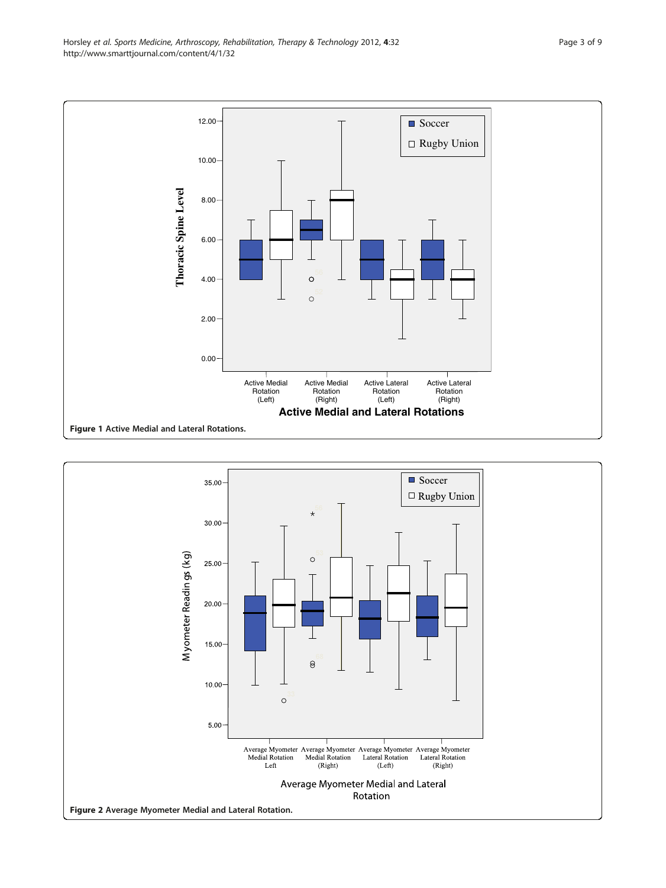<span id="page-2-0"></span>

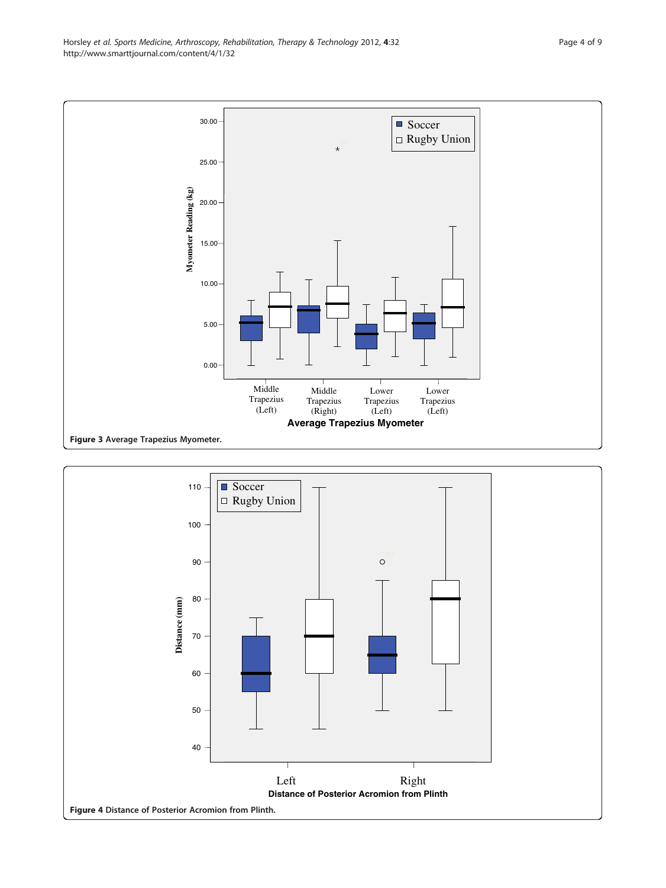<span id="page-3-0"></span>Horsley et al. Sports Medicine, Arthroscopy, Rehabilitation, Therapy & Technology 2012, 4:32 Page 4 of 9 http://www.smarttjournal.com/content/4/1/32



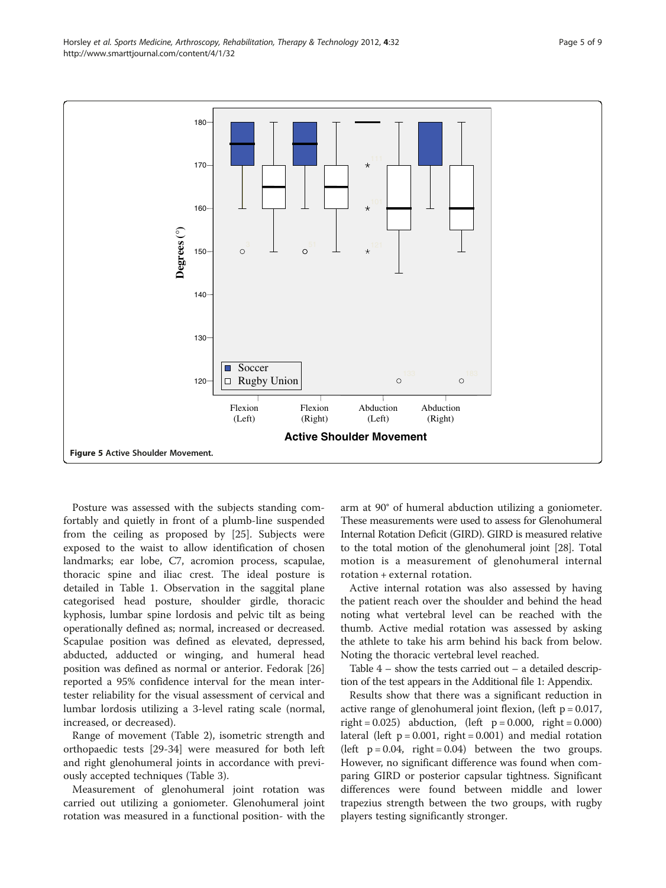<span id="page-4-0"></span>

Posture was assessed with the subjects standing comfortably and quietly in front of a plumb-line suspended from the ceiling as proposed by [\[25](#page-8-0)]. Subjects were exposed to the waist to allow identification of chosen landmarks; ear lobe, C7, acromion process, scapulae, thoracic spine and iliac crest. The ideal posture is detailed in Table [1](#page-1-0). Observation in the saggital plane categorised head posture, shoulder girdle, thoracic kyphosis, lumbar spine lordosis and pelvic tilt as being operationally defined as; normal, increased or decreased. Scapulae position was defined as elevated, depressed, abducted, adducted or winging, and humeral head position was defined as normal or anterior. Fedorak [[26](#page-8-0)] reported a 95% confidence interval for the mean intertester reliability for the visual assessment of cervical and lumbar lordosis utilizing a 3-level rating scale (normal, increased, or decreased).

Range of movement (Table [2\)](#page-1-0), isometric strength and orthopaedic tests [[29-34](#page-8-0)] were measured for both left and right glenohumeral joints in accordance with previously accepted techniques (Table [3\)](#page-1-0).

Measurement of glenohumeral joint rotation was carried out utilizing a goniometer. Glenohumeral joint rotation was measured in a functional position- with the

arm at 90° of humeral abduction utilizing a goniometer. These measurements were used to assess for Glenohumeral Internal Rotation Deficit (GIRD). GIRD is measured relative to the total motion of the glenohumeral joint [\[28](#page-8-0)]. Total motion is a measurement of glenohumeral internal rotation + external rotation.

Active internal rotation was also assessed by having the patient reach over the shoulder and behind the head noting what vertebral level can be reached with the thumb. Active medial rotation was assessed by asking the athlete to take his arm behind his back from below. Noting the thoracic vertebral level reached.

Table  $4$  – show the tests carried out – a detailed description of the test appears in the Additional file [1:](#page-7-0) Appendix.

Results show that there was a significant reduction in active range of glenohumeral joint flexion, (left  $p = 0.017$ ,  $right = 0.025$ ) abduction, (left  $p = 0.000$ , right = 0.000) lateral (left  $p = 0.001$ , right = 0.001) and medial rotation (left  $p = 0.04$ , right = 0.04) between the two groups. However, no significant difference was found when comparing GIRD or posterior capsular tightness. Significant differences were found between middle and lower trapezius strength between the two groups, with rugby players testing significantly stronger.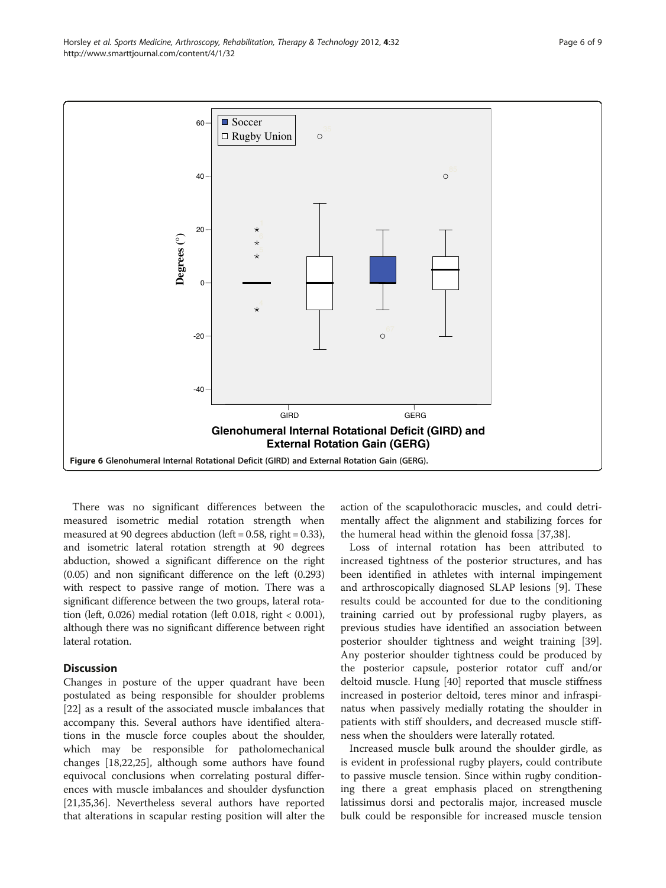<span id="page-5-0"></span>

There was no significant differences between the measured isometric medial rotation strength when measured at 90 degrees abduction (left =  $0.58$ , right =  $0.33$ ), and isometric lateral rotation strength at 90 degrees abduction, showed a significant difference on the right (0.05) and non significant difference on the left (0.293) with respect to passive range of motion. There was a significant difference between the two groups, lateral rotation (left, 0.026) medial rotation (left 0.018, right < 0.001), although there was no significant difference between right lateral rotation.

## **Discussion**

Changes in posture of the upper quadrant have been postulated as being responsible for shoulder problems [[22\]](#page-8-0) as a result of the associated muscle imbalances that accompany this. Several authors have identified alterations in the muscle force couples about the shoulder, which may be responsible for patholomechanical changes [\[18,22,25\]](#page-8-0), although some authors have found equivocal conclusions when correlating postural differences with muscle imbalances and shoulder dysfunction [[21,35,36\]](#page-8-0). Nevertheless several authors have reported that alterations in scapular resting position will alter the

action of the scapulothoracic muscles, and could detrimentally affect the alignment and stabilizing forces for the humeral head within the glenoid fossa [\[37,38\]](#page-8-0).

Loss of internal rotation has been attributed to increased tightness of the posterior structures, and has been identified in athletes with internal impingement and arthroscopically diagnosed SLAP lesions [[9\]](#page-8-0). These results could be accounted for due to the conditioning training carried out by professional rugby players, as previous studies have identified an association between posterior shoulder tightness and weight training [\[39](#page-8-0)]. Any posterior shoulder tightness could be produced by the posterior capsule, posterior rotator cuff and/or deltoid muscle. Hung [[40\]](#page-8-0) reported that muscle stiffness increased in posterior deltoid, teres minor and infraspinatus when passively medially rotating the shoulder in patients with stiff shoulders, and decreased muscle stiffness when the shoulders were laterally rotated.

Increased muscle bulk around the shoulder girdle, as is evident in professional rugby players, could contribute to passive muscle tension. Since within rugby conditioning there a great emphasis placed on strengthening latissimus dorsi and pectoralis major, increased muscle bulk could be responsible for increased muscle tension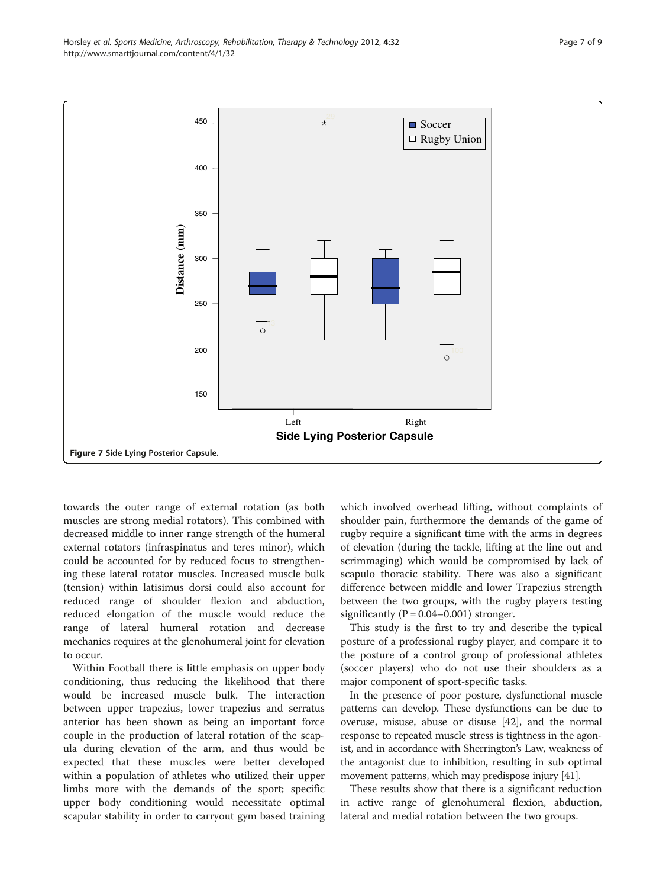<span id="page-6-0"></span>Horsley et al. Sports Medicine, Arthroscopy, Rehabilitation, Therapy & Technology 2012, 4:32 http://www.smarttjournal.com/content/4/1/32



towards the outer range of external rotation (as both muscles are strong medial rotators). This combined with decreased middle to inner range strength of the humeral external rotators (infraspinatus and teres minor), which could be accounted for by reduced focus to strengthening these lateral rotator muscles. Increased muscle bulk (tension) within latisimus dorsi could also account for reduced range of shoulder flexion and abduction, reduced elongation of the muscle would reduce the range of lateral humeral rotation and decrease mechanics requires at the glenohumeral joint for elevation to occur.

Within Football there is little emphasis on upper body conditioning, thus reducing the likelihood that there would be increased muscle bulk. The interaction between upper trapezius, lower trapezius and serratus anterior has been shown as being an important force couple in the production of lateral rotation of the scapula during elevation of the arm, and thus would be expected that these muscles were better developed within a population of athletes who utilized their upper limbs more with the demands of the sport; specific upper body conditioning would necessitate optimal scapular stability in order to carryout gym based training which involved overhead lifting, without complaints of shoulder pain, furthermore the demands of the game of rugby require a significant time with the arms in degrees of elevation (during the tackle, lifting at the line out and scrimmaging) which would be compromised by lack of scapulo thoracic stability. There was also a significant difference between middle and lower Trapezius strength between the two groups, with the rugby players testing significantly  $(P = 0.04 - 0.001)$  stronger.

This study is the first to try and describe the typical posture of a professional rugby player, and compare it to the posture of a control group of professional athletes (soccer players) who do not use their shoulders as a major component of sport-specific tasks.

In the presence of poor posture, dysfunctional muscle patterns can develop. These dysfunctions can be due to overuse, misuse, abuse or disuse [[42](#page-8-0)], and the normal response to repeated muscle stress is tightness in the agonist, and in accordance with Sherrington's Law, weakness of the antagonist due to inhibition, resulting in sub optimal movement patterns, which may predispose injury [\[41\]](#page-8-0).

These results show that there is a significant reduction in active range of glenohumeral flexion, abduction, lateral and medial rotation between the two groups.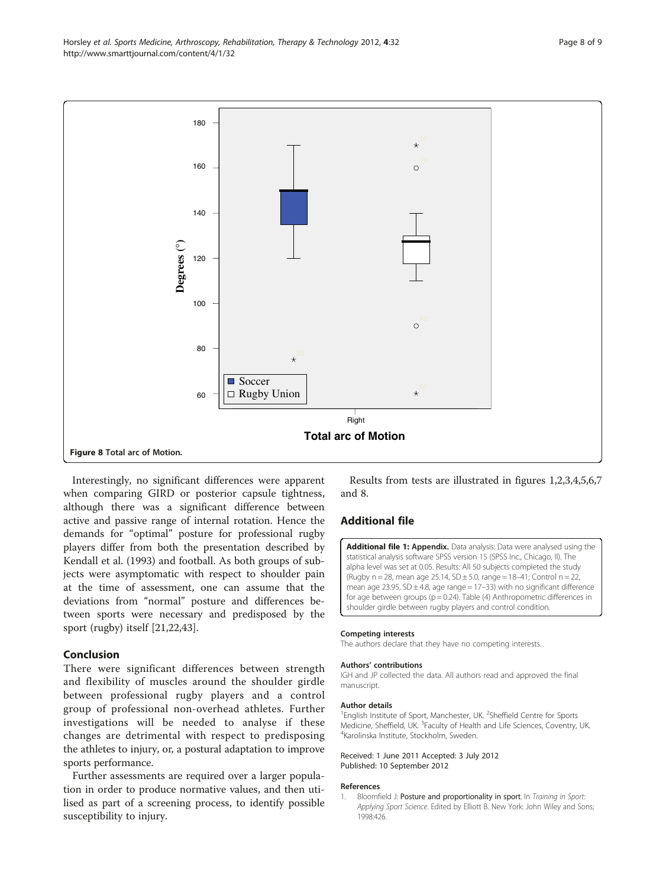<span id="page-7-0"></span>

Interestingly, no significant differences were apparent when comparing GIRD or posterior capsule tightness, although there was a significant difference between active and passive range of internal rotation. Hence the demands for "optimal" posture for professional rugby players differ from both the presentation described by Kendall et al. (1993) and football. As both groups of subjects were asymptomatic with respect to shoulder pain at the time of assessment, one can assume that the deviations from "normal" posture and differences between sports were necessary and predisposed by the sport (rugby) itself [[21](#page-8-0),[22](#page-8-0),[43](#page-8-0)].

## Conclusion

There were significant differences between strength and flexibility of muscles around the shoulder girdle between professional rugby players and a control group of professional non-overhead athletes. Further investigations will be needed to analyse if these changes are detrimental with respect to predisposing the athletes to injury, or, a postural adaptation to improve sports performance.

Further assessments are required over a larger population in order to produce normative values, and then utilised as part of a screening process, to identify possible susceptibility to injury.

Results from tests are illustrated in figures [1,2](#page-2-0)[,3](#page-3-0),[4](#page-3-0),[5](#page-4-0),[6,](#page-5-0)[7](#page-6-0) and 8.

## Additional file

[Additional file 1:](http://www.biomedcentral.com/content/supplementary/1758-2555-4-32-S1.doc) Appendix. Data analysis: Data were analysed using the statistical analysis software SPSS version 15 (SPSS Inc., Chicago, Il). The alpha level was set at 0.05. Results: All 50 subjects completed the study (Rugby  $n = 28$ , mean age  $25.14$ ,  $SD \pm 5.0$ , range =  $18-41$ ; Control  $n = 22$ , mean age 23.95,  $SD \pm 4.8$ , age range = 17-33) with no significant difference for age between groups (p = 0.24). Table (4) Anthropometric differences in shoulder girdle between rugby players and control condition.

#### Competing interests

The authors declare that they have no competing interests.

#### Authors' contributions

IGH and JP collected the data. All authors read and approved the final manuscript.

#### Author details

<sup>1</sup> English Institute of Sport, Manchester, UK. <sup>2</sup>Sheffield Centre for Sports Medicine, Sheffield, UK. <sup>3</sup> Faculty of Health and Life Sciences, Coventry, UK.<br><sup>4</sup>Karolinska Institute, Stockholm, Sweden Karolinska Institute, Stockholm, Sweden.

Received: 1 June 2011 Accepted: 3 July 2012 Published: 10 September 2012

#### References

1. Bloomfield J: Posture and proportionality in sport. In Training in Sport: Applying Sport Science. Edited by Elliott B. New York: John Wiley and Sons; 1998:426.